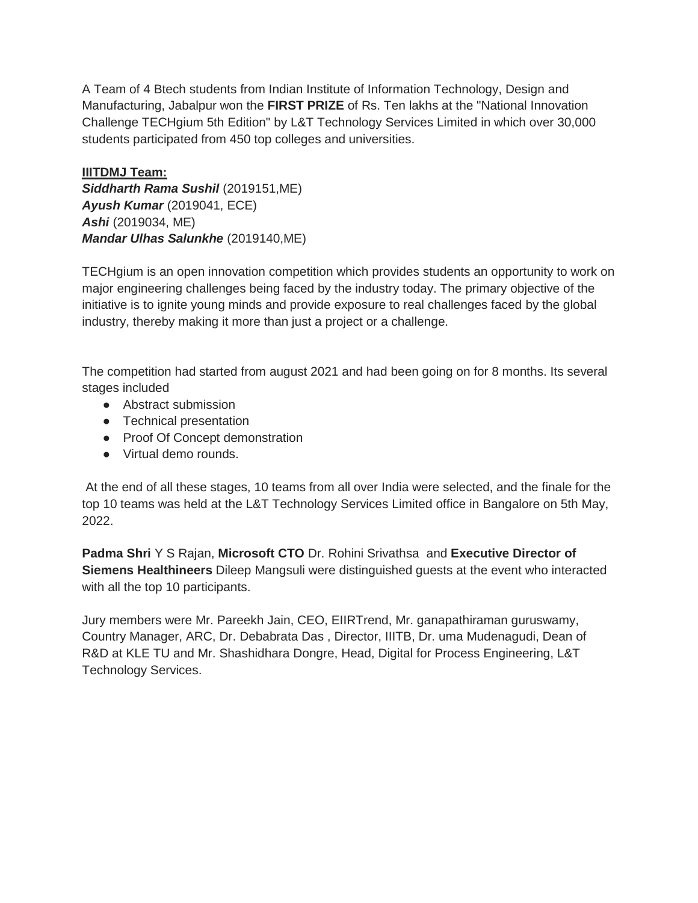A Team of 4 Btech students from Indian Institute of Information Technology, Design and Manufacturing, Jabalpur won the **FIRST PRIZE** of Rs. Ten lakhs at the "National Innovation Challenge TECHgium 5th Edition" by L&T Technology Services Limited in which over 30,000 students participated from 450 top colleges and universities.

## **IIITDMJ Team:** *Siddharth Rama Sushil* (2019151,ME) *Ayush Kumar* (2019041, ECE) *Ashi* (2019034, ME) *Mandar Ulhas Salunkhe* (2019140,ME)

TECHgium is an open innovation competition which provides students an opportunity to work on major engineering challenges being faced by the industry today. The primary objective of the initiative is to ignite young minds and provide exposure to real challenges faced by the global industry, thereby making it more than just a project or a challenge.

The competition had started from august 2021 and had been going on for 8 months. Its several stages included

- Abstract submission
- Technical presentation
- Proof Of Concept demonstration
- Virtual demo rounds.

At the end of all these stages, 10 teams from all over India were selected, and the finale for the top 10 teams was held at the L&T Technology Services Limited office in Bangalore on 5th May, 2022.

**Padma Shri** Y S Rajan, **Microsoft CTO** Dr. Rohini Srivathsa and **Executive Director of Siemens Healthineers** Dileep Mangsuli were distinguished guests at the event who interacted with all the top 10 participants.

Jury members were Mr. Pareekh Jain, CEO, EIIRTrend, Mr. ganapathiraman guruswamy, Country Manager, ARC, Dr. Debabrata Das , Director, IIITB, Dr. uma Mudenagudi, Dean of R&D at KLE TU and Mr. Shashidhara Dongre, Head, Digital for Process Engineering, L&T Technology Services.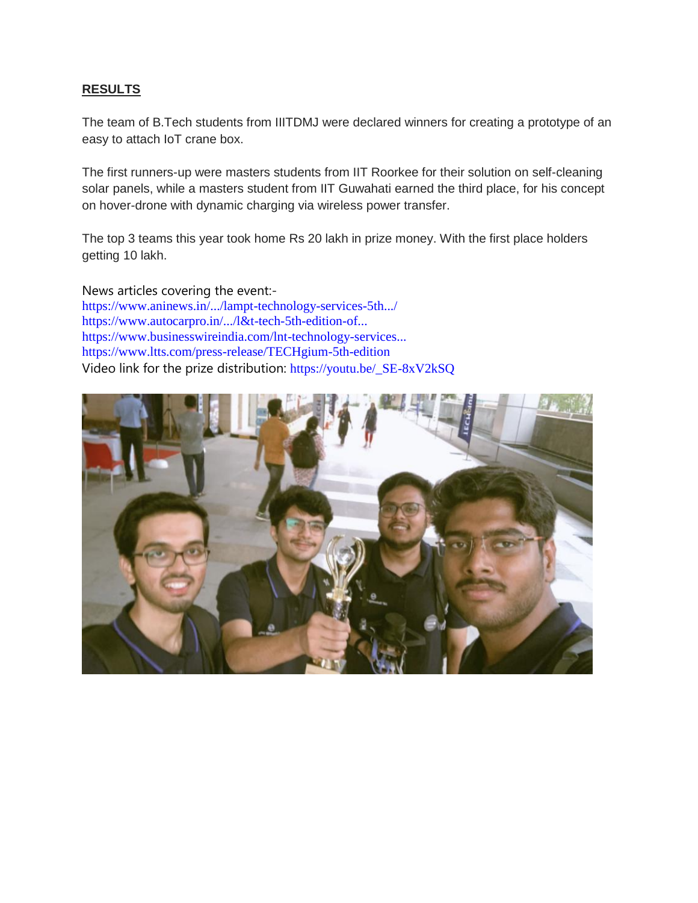## **RESULTS**

The team of B.Tech students from IIITDMJ were declared winners for creating a prototype of an easy to attach IoT crane box.

The first runners-up were masters students from IIT Roorkee for their solution on self-cleaning solar panels, while a masters student from IIT Guwahati earned the third place, for his concept on hover-drone with dynamic charging via wireless power transfer.

The top 3 teams this year took home Rs 20 lakh in prize money. With the first place holders getting 10 lakh.

News articles covering the event: [https://www.aninews.in/.../lampt-technology-services-5th.../](https://www.aninews.in/news/business/business/lampt-technology-services-5th-edition-of-academia-industry-initiative-techgium-concludes-with-breakthrough-innovations20220506144411/?fbclid=IwAR3T5vSqjj7Jqy8-uxqAilAnFW5F6U6MqYvFQ-4El66H4t4GjTZVdpwgYAo) [https://www.autocarpro.in/.../l&t-tech-5th-edition-of...](https://www.autocarpro.in/news-national/l&t-tech-5th-edition-of-techgium-sees-over-30-000-participants-81703?fbclid=IwAR0TwhT5SRcvWC9PP2HINplqMKz6WZH_51dr79iVsnuYch-JAKT6ePTXoCg) [https://www.businesswireindia.com/lnt-technology-services...](https://www.businesswireindia.com/lnt-technology-services-5th-edition-of-academia-industry-initiative-techgium-concludes-with-breakthrough-innovations-78687.html?fbclid=IwAR0T_l8aXXckCNKPNGxPSqFNdGIdE3k6S81TjQoA6hQQ8g25n539XLCH8-g) [https://www.ltts.com/press-release/TECHgium-5th-edition](https://www.ltts.com/press-release/TECHgium-5th-edition?fbclid=IwAR0QBOMSd57RNgnQew63Cm6TdPduyc9GJOgJ9K5i6AjqUZUk2rI3SMNBb3U) Video link for the prize distribution: [https://youtu.be/\\_SE-8xV2kSQ](https://l.facebook.com/l.php?u=https%3A%2F%2Fyoutu.be%2F_SE-8xV2kSQ%3Ffbclid%3DIwAR0GeSQJjpuw4ss6Om77YErqY4KkXNdzzQFi6gfy8y7-vf0VLIhnOdJs2F8&h=AT14ICxDR3oBa6G-9tcdHh9CaHPsOA8m8zqj5Kphnp_pQKStTWEH6KMYLwOO-wbftpkHRMiBJnNRc1_wmYQbpxCtAoa0Dy0W_abAiwvQs4zPF23GyRFrDWBwXrN2fu8Y&__tn__=-UK-R&c%5b0%5d=AT1pOIZx1doq1ZX7mBggj7zWRjyfqF8HRf7Bxm16FfQwvkuLYNXqRj1nQz1ByMcPBUQqi0vlzeREfLa0VNRnRaCxaPbNav22pOv5kt-h-lz0SyuWDPW_gO8ZoQNGfm8pJYSdR-vY0lk08BO9BgwmALrKKOCXtFhdIHrzbVIAfnD28E81zeNs_C1rOtjl_vmeBhwp4gs)